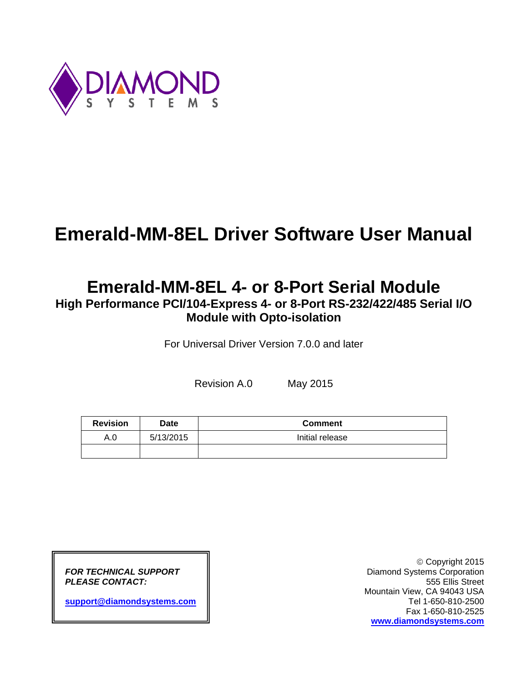

# **Emerald-MM-8EL Driver Software User Manual**

# **Emerald-MM-8EL 4- or 8-Port Serial Module**

**High Performance PCI/104-Express 4- or 8-Port RS-232/422/485 Serial I/O Module with Opto-isolation**

For Universal Driver Version 7.0.0 and later

Revision A.0 May 2015

| <b>Revision</b> | Date      | <b>Comment</b>  |
|-----------------|-----------|-----------------|
| A.0             | 5/13/2015 | Initial release |
|                 |           |                 |

**[support@diamondsystems.com](mailto:support@diamondsystems.com)**  $\parallel$ 

 Copyright 2015 *FOR TECHNICAL SUPPORT* Diamond Systems Corporation **PLEASE CONTACT:**  $\parallel$  **SEP 2008 SUPPLEASE CONTACT:** 555 Ellis Street Mountain View, CA 94043 USA Fax 1-650-810-2525 **[www.diamondsystems.com](http://www.diamondsystems.com/)**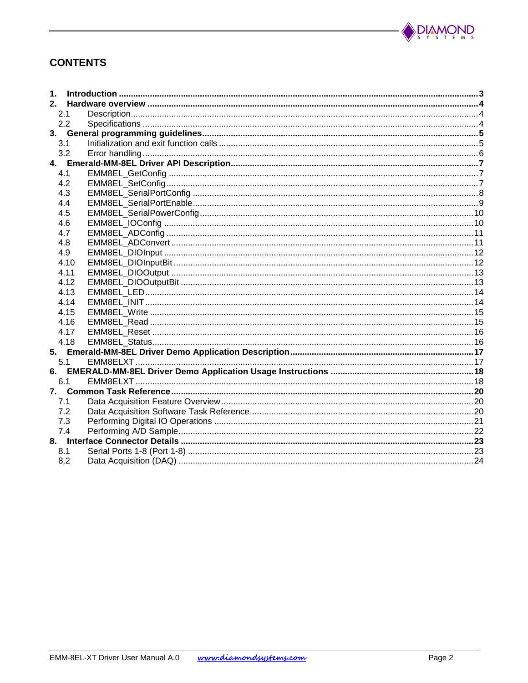

# **CONTENTS**

| 1.  |      |  |  |
|-----|------|--|--|
| 2.  |      |  |  |
|     | 2.1  |  |  |
|     | 2.2  |  |  |
| 3.  |      |  |  |
|     | 3.1  |  |  |
|     | 3.2  |  |  |
|     |      |  |  |
|     | 4.1  |  |  |
|     | 4.2  |  |  |
|     | 4.3  |  |  |
|     | 4.4  |  |  |
|     | 4.5  |  |  |
|     | 4.6  |  |  |
|     | 4.7  |  |  |
|     | 4.8  |  |  |
|     | 4.9  |  |  |
|     | 4.10 |  |  |
|     | 4.11 |  |  |
|     | 4.12 |  |  |
|     | 4.13 |  |  |
|     | 4.14 |  |  |
|     | 4.15 |  |  |
|     | 4.16 |  |  |
|     | 4.17 |  |  |
|     | 4.18 |  |  |
|     |      |  |  |
|     | 5.1  |  |  |
| 6.  |      |  |  |
|     | 6.1  |  |  |
| 7.  |      |  |  |
| 7.1 |      |  |  |
|     | 7.2  |  |  |
|     | 7.3  |  |  |
|     | 7.4  |  |  |
|     |      |  |  |
| 8.1 |      |  |  |
|     | 8.2  |  |  |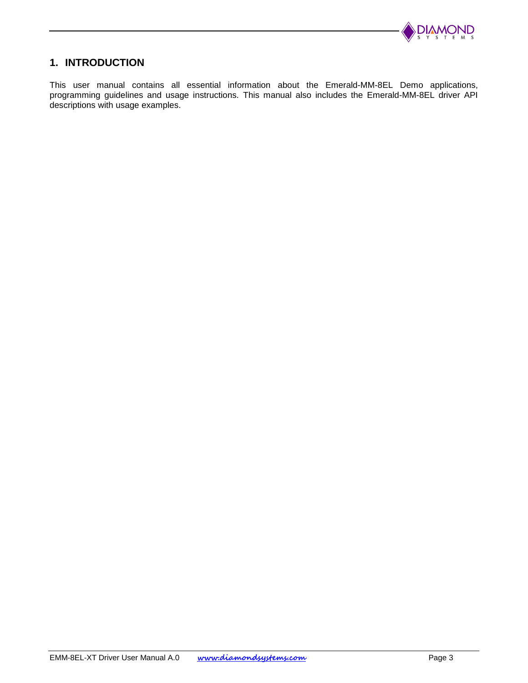

## <span id="page-2-0"></span>**1. INTRODUCTION**

This user manual contains all essential information about the Emerald-MM-8EL Demo applications, programming guidelines and usage instructions. This manual also includes the Emerald-MM-8EL driver API descriptions with usage examples.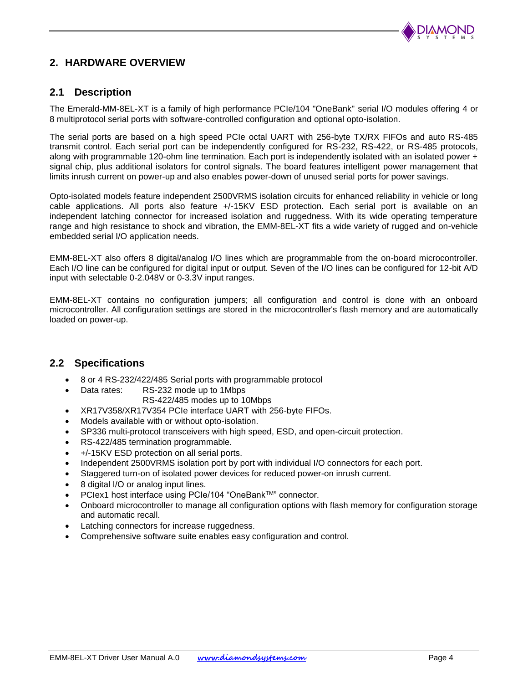

# <span id="page-3-0"></span>**2. HARDWARE OVERVIEW**

## <span id="page-3-1"></span>**2.1 Description**

The Emerald-MM-8EL-XT is a family of high performance PCIe/104 "OneBank" serial I/O modules offering 4 or 8 multiprotocol serial ports with software-controlled configuration and optional opto-isolation.

The serial ports are based on a high speed PCIe octal UART with 256-byte TX/RX FIFOs and auto RS-485 transmit control. Each serial port can be independently configured for RS-232, RS-422, or RS-485 protocols, along with programmable 120-ohm line termination. Each port is independently isolated with an isolated power + signal chip, plus additional isolators for control signals. The board features intelligent power management that limits inrush current on power-up and also enables power-down of unused serial ports for power savings.

Opto-isolated models feature independent 2500VRMS isolation circuits for enhanced reliability in vehicle or long cable applications. All ports also feature +/-15KV ESD protection. Each serial port is available on an independent latching connector for increased isolation and ruggedness. With its wide operating temperature range and high resistance to shock and vibration, the EMM-8EL-XT fits a wide variety of rugged and on-vehicle embedded serial I/O application needs.

EMM-8EL-XT also offers 8 digital/analog I/O lines which are programmable from the on-board microcontroller. Each I/O line can be configured for digital input or output. Seven of the I/O lines can be configured for 12-bit A/D input with selectable 0-2.048V or 0-3.3V input ranges.

EMM-8EL-XT contains no configuration jumpers; all configuration and control is done with an onboard microcontroller. All configuration settings are stored in the microcontroller's flash memory and are automatically loaded on power-up.

## <span id="page-3-2"></span>**2.2 Specifications**

- 8 or 4 RS-232/422/485 Serial ports with programmable protocol
- Data rates: RS-232 mode up to 1Mbps
	- RS-422/485 modes up to 10Mbps
- XR17V358/XR17V354 PCIe interface UART with 256-byte FIFOs.
- Models available with or without opto-isolation.
- SP336 multi-protocol transceivers with high speed, ESD, and open-circuit protection.
- RS-422/485 termination programmable.
- +/-15KV ESD protection on all serial ports.
- Independent 2500VRMS isolation port by port with individual I/O connectors for each port.
- Staggered turn-on of isolated power devices for reduced power-on inrush current.
- 8 digital I/O or analog input lines.
- PCIex1 host interface using PCIe/104 "OneBank™" connector.
- Onboard microcontroller to manage all configuration options with flash memory for configuration storage and automatic recall.
- Latching connectors for increase ruggedness.
- Comprehensive software suite enables easy configuration and control.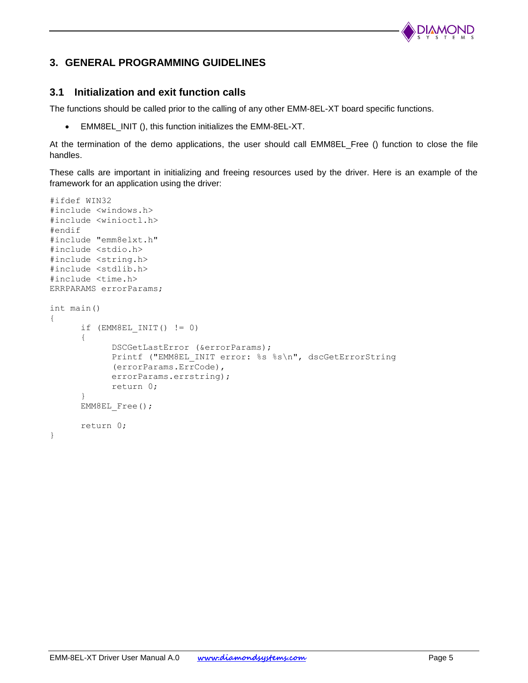

# <span id="page-4-0"></span>**3. GENERAL PROGRAMMING GUIDELINES**

## <span id="page-4-1"></span>**3.1 Initialization and exit function calls**

The functions should be called prior to the calling of any other EMM-8EL-XT board specific functions.

EMM8EL\_INIT (), this function initializes the EMM-8EL-XT.

At the termination of the demo applications, the user should call EMM8EL\_Free () function to close the file handles.

These calls are important in initializing and freeing resources used by the driver. Here is an example of the framework for an application using the driver:

```
#ifdef WIN32
#include <windows.h>
#include <winioctl.h>
#endif
#include "emm8elxt.h"
#include <stdio.h>
#include <string.h>
#include <stdlib.h>
#include <time.h>
ERRPARAMS errorParams;
int main()
{
      if (EMM8EL INIT() != 0){
            DSCGetLastError (&errorParams);
            Printf ("EMM8EL INIT error: %s %s\n", dscGetErrorString
            (errorParams.ErrCode),
            errorParams.errstring);
            return 0;
      }
      EMM8EL Free();
      return 0;
}
```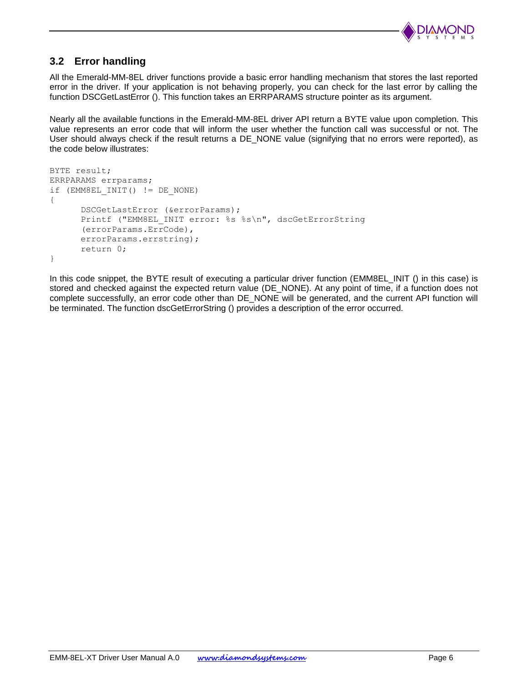

# <span id="page-5-0"></span>**3.2 Error handling**

All the Emerald-MM-8EL driver functions provide a basic error handling mechanism that stores the last reported error in the driver. If your application is not behaving properly, you can check for the last error by calling the function DSCGetLastError (). This function takes an ERRPARAMS structure pointer as its argument.

Nearly all the available functions in the Emerald-MM-8EL driver API return a BYTE value upon completion. This value represents an error code that will inform the user whether the function call was successful or not. The User should always check if the result returns a DE\_NONE value (signifying that no errors were reported), as the code below illustrates:

```
BYTE result;
ERRPARAMS errparams;
if (EMM8EL_INIT() != DE_NONE)
{
      DSCGetLastError (&errorParams);
      Printf ("EMM8EL INIT error: %s %s\n", dscGetErrorString
      (errorParams.ErrCode), 
      errorParams.errstring);
      return 0;
}
```
In this code snippet, the BYTE result of executing a particular driver function (EMM8EL\_INIT () in this case) is stored and checked against the expected return value (DE\_NONE). At any point of time, if a function does not complete successfully, an error code other than DE\_NONE will be generated, and the current API function will be terminated. The function [dscGetErrorString](http://docs.diamondsystems.com/dscud/manual_DscGetErrorString.html) () provides a description of the error occurred.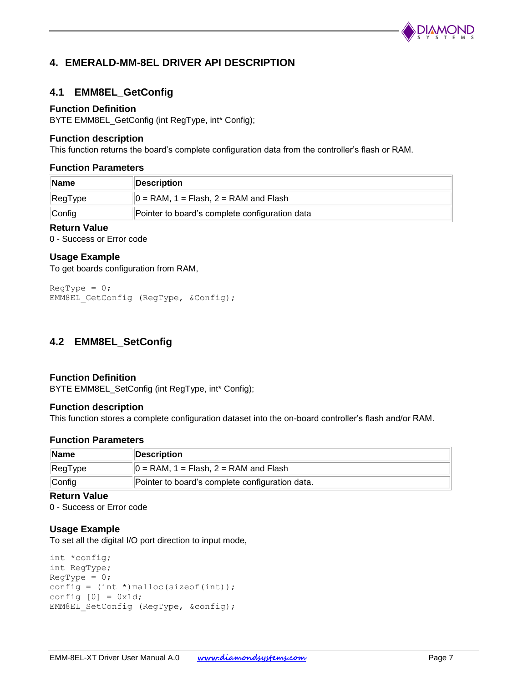

# <span id="page-6-0"></span>**4. EMERALD-MM-8EL DRIVER API DESCRIPTION**

# <span id="page-6-1"></span>**4.1 EMM8EL\_GetConfig**

#### **Function Definition**

BYTE EMM8EL\_GetConfig (int RegType, int\* Config);

#### **Function description**

This function returns the board's complete configuration data from the controller's flash or RAM.

#### **Function Parameters**

| ∣Name   | Description                                    |
|---------|------------------------------------------------|
| RegType | $\vert$ = RAM, 1 = Flash, 2 = RAM and Flash    |
| Config  | Pointer to board's complete configuration data |

## **Return Value**

0 - Success or Error code

#### **Usage Example**

To get boards configuration from RAM,

```
RegType = 0;EMM8EL GetConfig (RegType, &Config);
```
# <span id="page-6-2"></span>**4.2 EMM8EL\_SetConfig**

#### **Function Definition**

BYTE EMM8EL\_SetConfig (int RegType, int\* Config);

#### **Function description**

This function stores a complete configuration dataset into the on-board controller's flash and/or RAM.

#### **Function Parameters**

| Name                    | Description                                     |
|-------------------------|-------------------------------------------------|
| $\sqrt{\text{RegType}}$ | $\vert$ = RAM, 1 = Flash, 2 = RAM and Flash     |
| Config                  | Pointer to board's complete configuration data. |

#### **Return Value**

0 - Success or Error code

#### **Usage Example**

To set all the digital I/O port direction to input mode,

```
int *config;
int RegType;
RegType = 0;config = (int *) malloc(sizeof(int));
config [0] = 0x1d;EMM8EL SetConfig (RegType, &config);
```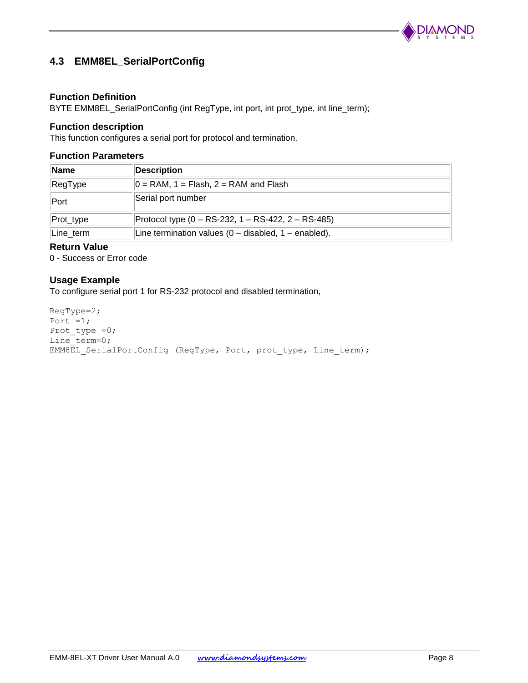

# <span id="page-7-0"></span>**4.3 EMM8EL\_SerialPortConfig**

#### **Function Definition**

BYTE EMM8EL\_SerialPortConfig (int RegType, int port, int prot\_type, int line\_term);

#### **Function description**

This function configures a serial port for protocol and termination.

#### **Function Parameters**

| <b>Name</b> | <b>Description</b>                                       |
|-------------|----------------------------------------------------------|
| RegType     | $0 = RAM$ , 1 = Flash, 2 = RAM and Flash                 |
| Port        | Serial port number                                       |
| Prot_type   | Protocol type $(0 - RS-232, 1 - RS-422, 2 - RS-485)$     |
| Line term   | Line termination values $(0 -$ disabled, $1 -$ enabled). |

## **Return Value**

0 - Success or Error code

## **Usage Example**

To configure serial port 1 for RS-232 protocol and disabled termination,

RegType=2; Port  $=1;$ Prot type =0; Line\_term=0; EMM8EL SerialPortConfig (RegType, Port, prot type, Line term);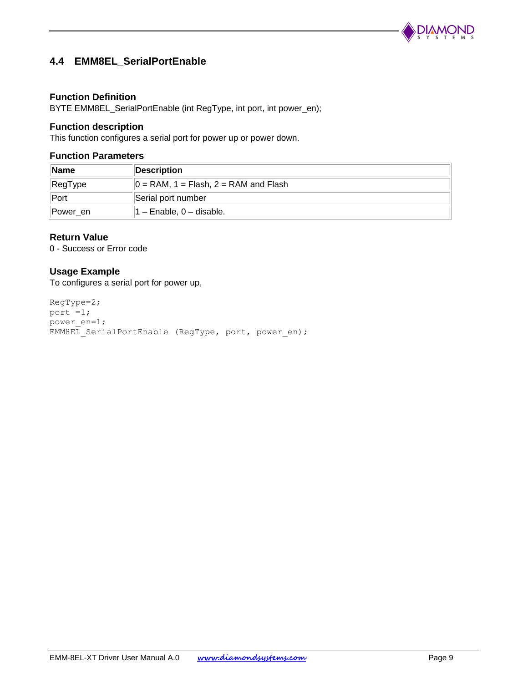

# <span id="page-8-0"></span>**4.4 EMM8EL\_SerialPortEnable**

### **Function Definition**

BYTE EMM8EL\_SerialPortEnable (int RegType, int port, int power\_en);

#### **Function description**

This function configures a serial port for power up or power down.

#### **Function Parameters**

| <b>Name</b>             | Description                                 |
|-------------------------|---------------------------------------------|
| $\sqrt{\text{RegType}}$ | $\vert$ = RAM, 1 = Flash, 2 = RAM and Flash |
| ∣Port                   | Serial port number                          |
| Power en                | $1 -$ Enable, $0 -$ disable.                |

### **Return Value**

0 - Success or Error code

#### **Usage Example**

To configures a serial port for power up,

```
RegType=2;
port =1;
power_en=1;
EMM8EL SerialPortEnable (RegType, port, power_en);
```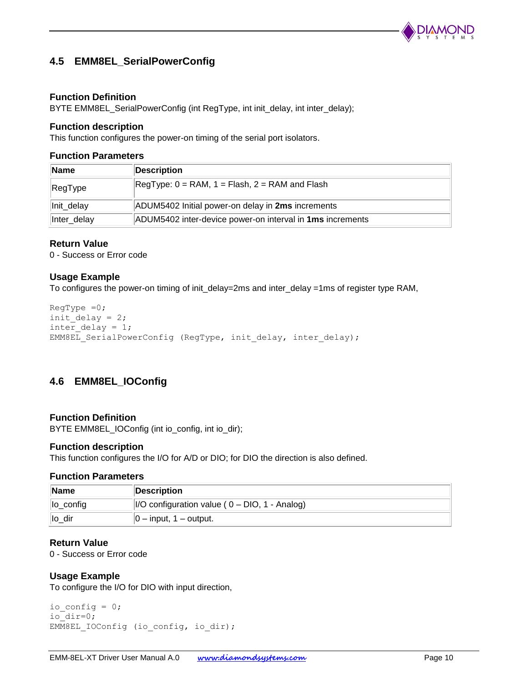

# <span id="page-9-0"></span>**4.5 EMM8EL\_SerialPowerConfig**

#### **Function Definition**

BYTE EMM8EL\_SerialPowerConfig (int RegType, int init\_delay, int inter\_delay);

#### **Function description**

This function configures the power-on timing of the serial port isolators.

#### **Function Parameters**

| ∣Name       | Description                                                      |
|-------------|------------------------------------------------------------------|
| RegType     | $RegType: 0 = RAM, 1 = Flash, 2 = RAM and Flash$                 |
| Init_delay  | ADUM5402 Initial power-on delay in 2ms increments                |
| Inter_delay | ADUM5402 inter-device power-on interval in <b>1ms</b> increments |

#### **Return Value**

0 - Success or Error code

#### **Usage Example**

To configures the power-on timing of init\_delay=2ms and inter\_delay =1ms of register type RAM,

```
RegType =0;init delay = 2;inter delay = 1;
EMM8EL SerialPowerConfig (RegType, init_delay, inter_delay);
```
# <span id="page-9-1"></span>**4.6 EMM8EL\_IOConfig**

#### **Function Definition**

BYTE EMM8EL\_IOConfig (int io\_config, int io\_dir);

#### **Function description**

This function configures the I/O for A/D or DIO; for DIO the direction is also defined.

#### **Function Parameters**

| Name           | Description                                              |
|----------------|----------------------------------------------------------|
| $\ $ lo_config | $\vert$ I/O configuration value ( $0$ – DIO, 1 - Analog) |
| $\ $ lo dir    | $ 0 - \text{input}, 1 - \text{output}.$                  |

#### **Return Value**

0 - Success or Error code

#### **Usage Example**

To configure the I/O for DIO with input direction,

```
io config = 0;io_dir=0;
EMM8EL IOConfig (io config, io dir);
```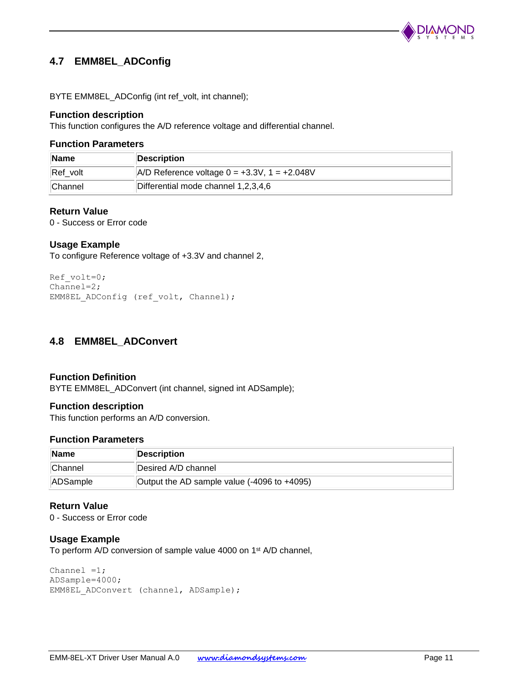

# <span id="page-10-0"></span>**4.7 EMM8EL\_ADConfig**

BYTE EMM8EL\_ADConfig (int ref\_volt, int channel);

### **Function description**

This function configures the A/D reference voltage and differential channel.

#### **Function Parameters**

| <b>Name</b>    | Description                                           |
|----------------|-------------------------------------------------------|
| Ref volt       | $ A/D $ Reference voltage $0 = +3.3V$ , $1 = +2.048V$ |
| <b>Channel</b> | Differential mode channel 1,2,3,4,6                   |

#### **Return Value**

0 - Success or Error code

### **Usage Example**

To configure Reference voltage of +3.3V and channel 2,

```
Ref_volt=0;
Channel=2;
EMM8EL_ADConfig (ref_volt, Channel);
```
# <span id="page-10-1"></span>**4.8 EMM8EL\_ADConvert**

#### **Function Definition**

BYTE EMM8EL\_ADConvert (int channel, signed int ADSample);

#### **Function description**

This function performs an A/D conversion.

#### **Function Parameters**

| ∣Name           | Description                                 |
|-----------------|---------------------------------------------|
| ∣lChannel       | Desired A/D channel                         |
| <b>ADSample</b> | Output the AD sample value (-4096 to +4095) |

#### **Return Value**

0 - Success or Error code

#### **Usage Example**

To perform A/D conversion of sample value 4000 on 1<sup>st</sup> A/D channel,

```
Channel =1;ADSample=4000;
EMM8EL ADConvert (channel, ADSample);
```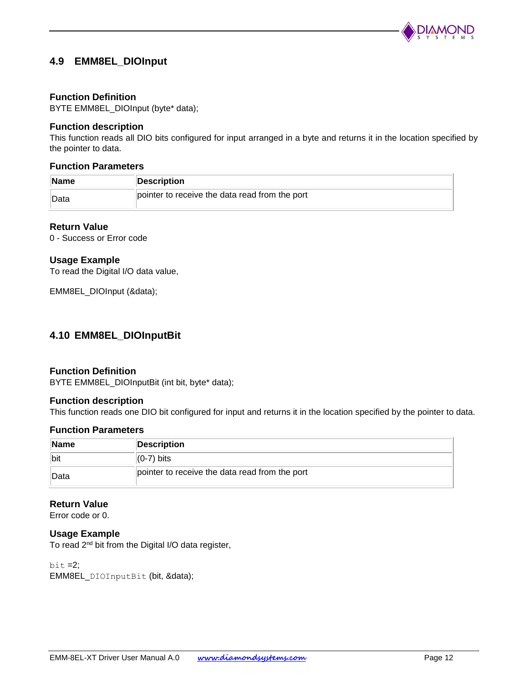

# <span id="page-11-0"></span>**4.9 EMM8EL\_DIOInput**

#### **Function Definition**

BYTE EMM8EL\_DIOInput (byte\* data);

#### **Function description**

This function reads all DIO bits configured for input arranged in a byte and returns it in the location specified by the pointer to data.

## **Function Parameters**

| Name         | Description                                    |
|--------------|------------------------------------------------|
| <b>IData</b> | pointer to receive the data read from the port |

#### **Return Value**

0 - Success or Error code

#### **Usage Example**

To read the Digital I/O data value,

EMM8EL\_DIOInput (&data);

## <span id="page-11-1"></span>**4.10 EMM8EL\_DIOInputBit**

#### **Function Definition**

BYTE EMM8EL\_DIOInputBit (int bit, byte\* data);

#### **Function description**

This function reads one DIO bit configured for input and returns it in the location specified by the pointer to data.

#### **Function Parameters**

| <b>Name</b> | Description                                    |
|-------------|------------------------------------------------|
| <b>bit</b>  | $(0-7)$ bits                                   |
| ∣Data       | pointer to receive the data read from the port |

#### **Return Value**

Error code or 0.

#### **Usage Example**

To read 2<sup>nd</sup> bit from the Digital I/O data register,

 $bit = 2$ ; EMM8EL\_DIOInputBit (bit, &data);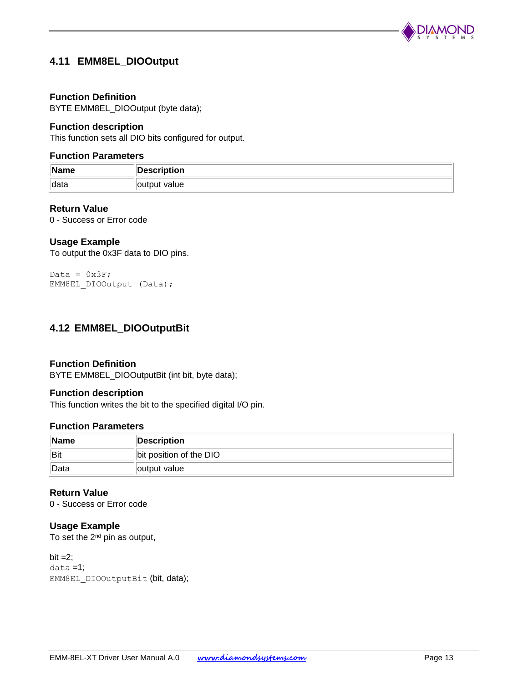

# <span id="page-12-2"></span><span id="page-12-0"></span>**4.11 EMM8EL\_DIOOutput**

#### **Function Definition**

BYTE EMM8EL\_DIOOutput (byte data);

#### **Function description**

This function sets all DIO bits configured for output.

#### **Function Parameters**

| Name  | <b>Description</b> |
|-------|--------------------|
| ∥data | value<br>. outr    |

#### **Return Value**

0 - Success or Error code

#### **Usage Example**

To output the 0x3F data to DIO pins.

```
Data = 0x3F;
EMM8EL DIOOutput (Data);
```
## <span id="page-12-1"></span>**4.12 EMM8EL\_DIOOutputBit**

#### **Function Definition**

BYTE EMM8EL\_DIOOutputBit (int bit, byte data);

#### **Function description**

This function writes the bit to the specified digital I/O pin.

#### **Function Parameters**

| Name | Description             |
|------|-------------------------|
| Bit  | bit position of the DIO |
| Data | output value            |

#### **Return Value**

0 - Success or Error code

#### **Usage Example**

To set the  $2^{nd}$  pin as output,

 $bit = 2$ ; data =1; EMM8EL\_DIOOutputBit (bit, data);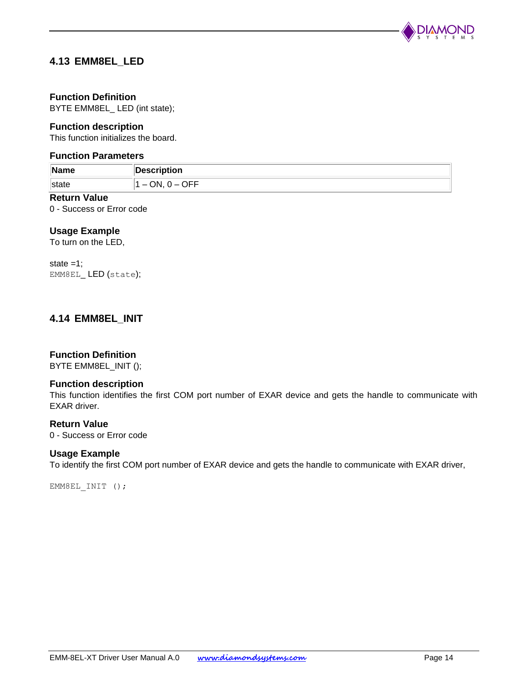

# <span id="page-13-0"></span>**4.13 EMM8EL\_LED**

## **Function Definition**

BYTE EMM8EL\_ LED (int state);

#### **Function description**

This function initializes the board.

#### **Function Parameters**

| 19. E<br>$\blacksquare$ name | <b>Description</b> |
|------------------------------|--------------------|
| puu                          | $- -$<br>אר<br>ำ⊨∟ |

# **Return Value**

0 - Success or Error code

### **Usage Example**

To turn on the LED,

state  $=1$ ; EMM8EL\_ LED (state);

## <span id="page-13-1"></span>**4.14 EMM8EL\_INIT**

## **Function Definition**

BYTE EMM8EL\_INIT ();

#### **Function description**

This function identifies the first COM port number of EXAR device and gets the handle to communicate with EXAR driver.

#### **Return Value**

0 - Success or Error code

#### **Usage Example**

To identify the first COM port number of EXAR device and gets the handle to communicate with EXAR driver,

EMM8EL INIT ();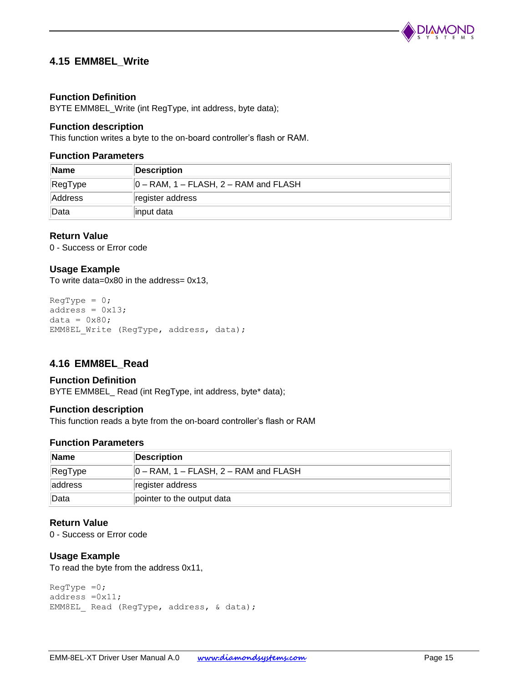

# <span id="page-14-0"></span>**4.15 EMM8EL\_Write**

#### **Function Definition**

BYTE EMM8EL\_Write (int RegType, int address, byte data);

#### **Function description**

This function writes a byte to the on-board controller's flash or RAM.

#### **Function Parameters**

| <b>Name</b> | Description                                   |  |  |
|-------------|-----------------------------------------------|--|--|
| RegType     | $\vert$ 0 – RAM, 1 – FLASH, 2 – RAM and FLASH |  |  |
| Address     | register address                              |  |  |
| <b>Data</b> | input data                                    |  |  |

#### **Return Value**

0 - Success or Error code

#### **Usage Example**

To write data=0x80 in the address= 0x13,

```
ReqType = 0;address = 0x13;
data = 0 \times 80:
EMM8EL Write (RegType, address, data);
```
# <span id="page-14-1"></span>**4.16 EMM8EL\_Read**

#### **Function Definition**

BYTE EMM8EL\_ Read (int RegType, int address, byte\* data);

#### **Function description**

This function reads a byte from the on-board controller's flash or RAM

### **Function Parameters**

| ∣Name    | Description                                   |  |  |  |
|----------|-----------------------------------------------|--|--|--|
| RegType  | $\vert$ 0 – RAM, 1 – FLASH, 2 – RAM and FLASH |  |  |  |
| laddress | register address                              |  |  |  |
| ∣Data    | pointer to the output data                    |  |  |  |

## **Return Value**

0 - Success or Error code

#### **Usage Example**

To read the byte from the address 0x11,

```
RegType =0;address =0x11;
EMM8EL Read (RegType, address, & data);
```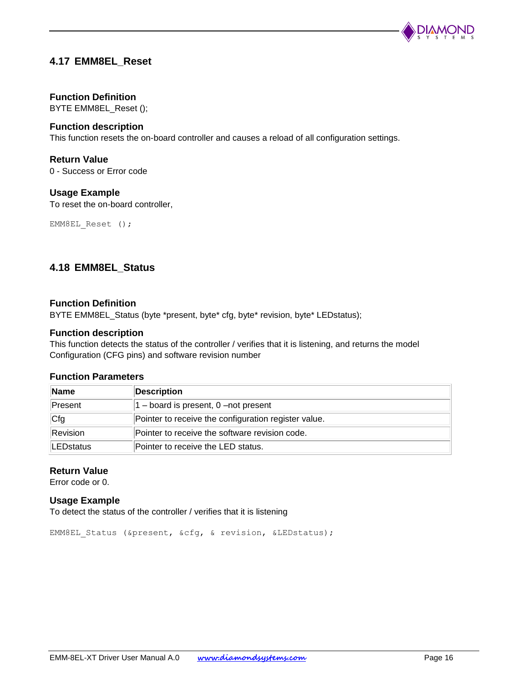

# <span id="page-15-0"></span>**4.17 EMM8EL\_Reset**

### **Function Definition**

BYTE EMM8EL\_Reset ();

#### **Function description**

This function resets the on-board controller and causes a reload of all configuration settings.

#### **Return Value**

0 - Success or Error code

#### **Usage Example**

To reset the on-board controller,

EMM8EL Reset ();

## <span id="page-15-1"></span>**4.18 EMM8EL\_Status**

#### **Function Definition**

BYTE EMM8EL\_Status (byte \*present, byte\* cfg, byte\* revision, byte\* LEDstatus);

#### **Function description**

This function detects the status of the controller / verifies that it is listening, and returns the model Configuration (CFG pins) and software revision number

#### **Function Parameters**

| <b>Name</b>      | Description                                          |  |  |
|------------------|------------------------------------------------------|--|--|
| Present          | $ 1 -$ board is present, 0 -not present              |  |  |
| Cfg              | Pointer to receive the configuration register value. |  |  |
| Revision         | Pointer to receive the software revision code.       |  |  |
| <b>LEDstatus</b> | Pointer to receive the LED status.                   |  |  |

#### **Return Value**

Error code or 0.

#### **Usage Example**

To detect the status of the controller / verifies that it is listening

EMM8EL\_Status (&present, &cfg, & revision, &LEDstatus);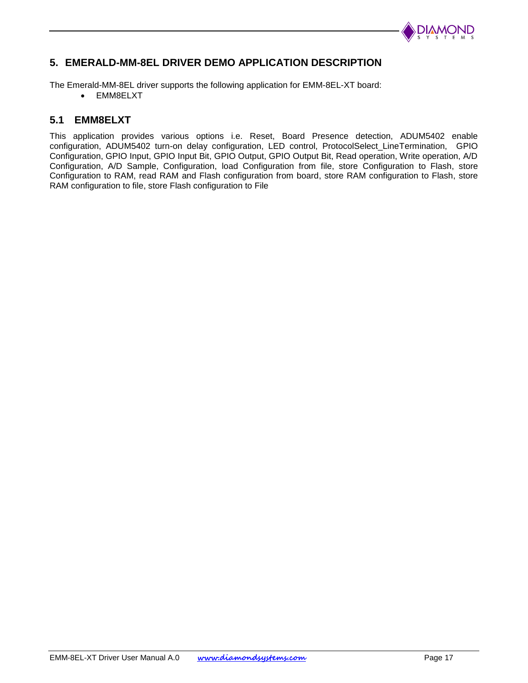

# <span id="page-16-0"></span>**5. EMERALD-MM-8EL DRIVER DEMO APPLICATION DESCRIPTION**

The Emerald-MM-8EL driver supports the following application for EMM-8EL-XT board:

EMM8ELXT

## <span id="page-16-1"></span>**5.1 EMM8ELXT**

This application provides various options i.e. Reset, Board Presence detection, ADUM5402 enable configuration, ADUM5402 turn-on delay configuration, LED control, ProtocolSelect\_LineTermination, GPIO Configuration, GPIO Input, GPIO Input Bit, GPIO Output, GPIO Output Bit, Read operation, Write operation, A/D Configuration, A/D Sample, Configuration, load Configuration from file, store Configuration to Flash, store Configuration to RAM, read RAM and Flash configuration from board, store RAM configuration to Flash, store RAM configuration to file, store Flash configuration to File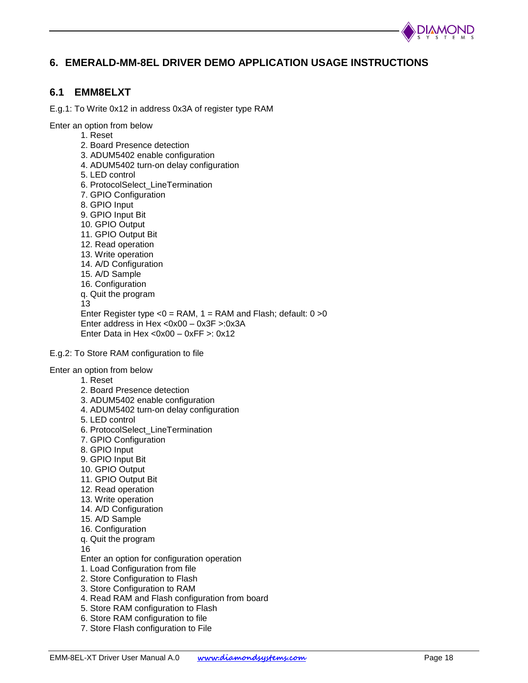

# <span id="page-17-0"></span>**6. EMERALD-MM-8EL DRIVER DEMO APPLICATION USAGE INSTRUCTIONS**

## <span id="page-17-1"></span>**6.1 EMM8ELXT**

E.g.1: To Write 0x12 in address 0x3A of register type RAM

Enter an option from below

- 1. Reset
- 2. Board Presence detection
- 3. ADUM5402 enable configuration
- 4. ADUM5402 turn-on delay configuration
- 5. LED control
- 6. ProtocolSelect\_LineTermination
- 7. GPIO Configuration
- 8. GPIO Input
- 9. GPIO Input Bit
- 10. GPIO Output
- 11. GPIO Output Bit
- 12. Read operation
- 13. Write operation
- 14. A/D Configuration
- 15. A/D Sample
- 16. Configuration
- q. Quit the program
- 13 Enter Register type  $<$ 0 = RAM, 1 = RAM and Flash; default: 0 > 0 Enter address in Hex <0x00 – 0x3F >:0x3A Enter Data in Hex <0x00 – 0xFF >: 0x12
- E.g.2: To Store RAM configuration to file
- Enter an option from below
	- 1. Reset
	- 2. Board Presence detection
	- 3. ADUM5402 enable configuration
	- 4. ADUM5402 turn-on delay configuration
	- 5. LED control
	- 6. ProtocolSelect\_LineTermination
	- 7. GPIO Configuration
	- 8. GPIO Input
	- 9. GPIO Input Bit
	- 10. GPIO Output
	- 11. GPIO Output Bit
	- 12. Read operation
	- 13. Write operation
	- 14. A/D Configuration
	- 15. A/D Sample
	- 16. Configuration
	- q. Quit the program
	- 16

Enter an option for configuration operation

- 1. Load Configuration from file
- 2. Store Configuration to Flash
- 3. Store Configuration to RAM
- 4. Read RAM and Flash configuration from board
- 5. Store RAM configuration to Flash
- 6. Store RAM configuration to file
- 7. Store Flash configuration to File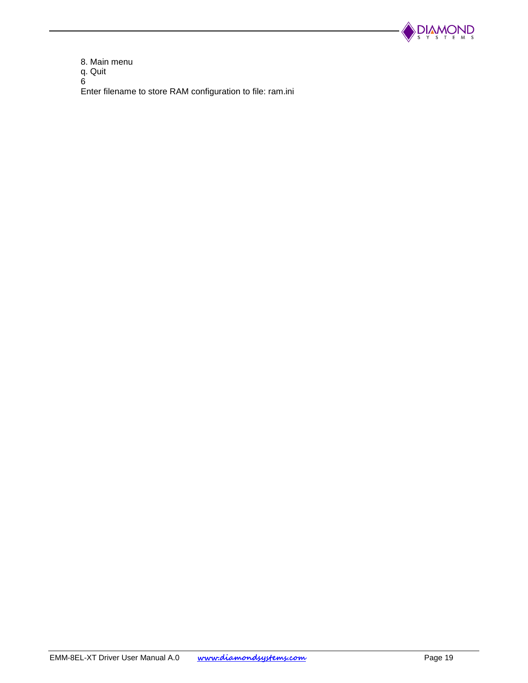

8. Main menu q. Quit 6

Enter filename to store RAM configuration to file: ram.ini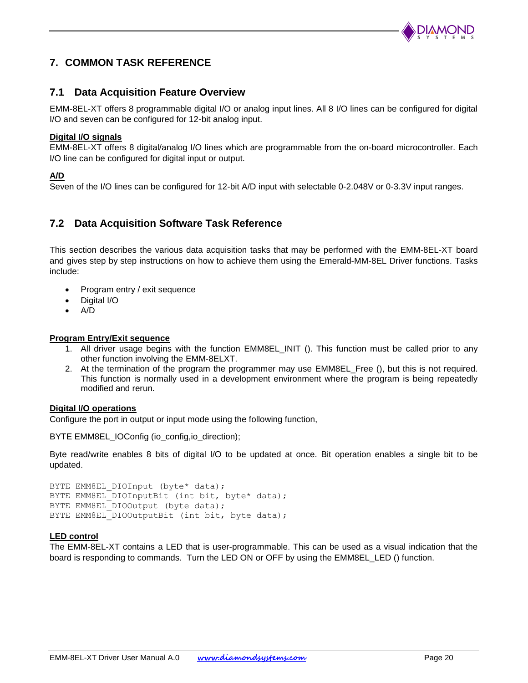

# <span id="page-19-0"></span>**7. COMMON TASK REFERENCE**

## <span id="page-19-1"></span>**7.1 Data Acquisition Feature Overview**

EMM-8EL-XT offers 8 programmable digital I/O or analog input lines. All 8 I/O lines can be configured for digital I/O and seven can be configured for 12-bit analog input.

#### **Digital I/O signals**

EMM-8EL-XT offers 8 digital/analog I/O lines which are programmable from the on-board microcontroller. Each I/O line can be configured for digital input or output.

#### **A/D**

Seven of the I/O lines can be configured for 12-bit A/D input with selectable 0-2.048V or 0-3.3V input ranges.

# <span id="page-19-2"></span>**7.2 Data Acquisition Software Task Reference**

This section describes the various data acquisition tasks that may be performed with the EMM-8EL-XT board and gives step by step instructions on how to achieve them using the Emerald-MM-8EL Driver functions. Tasks include:

- Program entry / exit sequence
- Digital I/O
- $\bullet$  A/D

#### **Program Entry/Exit sequence**

- 1. All driver usage begins with the function EMM8EL INIT (). This function must be called prior to any other function involving the EMM-8ELXT.
- 2. At the termination of the program the programmer may use EMM8EL\_Free (), but this is not required. This function is normally used in a development environment where the program is being repeatedly modified and rerun.

#### **Digital I/O operations**

Configure the port in output or input mode using the following function,

BYTE EMM8EL\_IOConfig (io\_config,io\_direction);

Byte read/write enables 8 bits of digital I/O to be updated at once. Bit operation enables a single bit to be updated.

```
BYTE EMM8EL DIOInput (byte* data);
BYTE EMM8EL DIOInputBit (int bit, byte* data);
BYTE EMM8EL DIOOutput (byte data);
BYTE EMM8EL DIOOutputBit (int bit, byte data);
```
#### **LED control**

The EMM-8EL-XT contains a LED that is user-programmable. This can be used as a visual indication that the board is responding to commands. Turn the LED ON or OFF by using the [EMM8EL\\_LED \(\)](#page-13-0) function.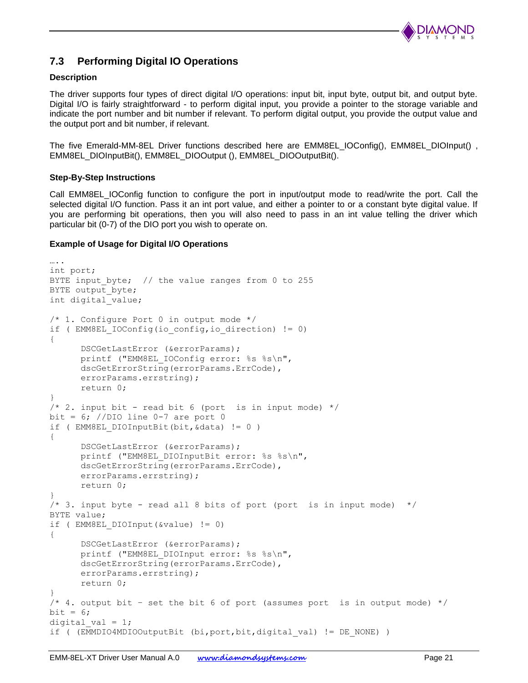

# <span id="page-20-0"></span>**7.3 Performing Digital IO Operations**

#### **Description**

The driver supports four types of direct digital I/O operations: input bit, input byte, output bit, and output byte. Digital I/O is fairly straightforward - to perform digital input, you provide a pointer to the storage variable and indicate the port number and bit number if relevant. To perform digital output, you provide the output value and the output port and bit number, if relevant.

The five Emerald-MM-8EL Driver functions described here are EMM8EL IOConfig(), EMM8EL DIOInput(), [EMM8EL\\_DIOInputBit\(\),](#page-11-1) [EMM8EL\\_DIOOutput \(\),](#page-12-2) [EMM8EL\\_DIOOutputBit\(\).](#page-12-1)

#### **Step-By-Step Instructions**

Call EMM8EL\_IOConfig function to configure the port in input/output mode to read/write the port. Call the selected digital I/O function. Pass it an int port value, and either a pointer to or a constant byte digital value. If you are performing bit operations, then you will also need to pass in an int value telling the driver which particular bit (0-7) of the DIO port you wish to operate on.

#### **Example of Usage for Digital I/O Operations**

```
….
int port;
BYTE input byte; // the value ranges from 0 to 255
BYTE output byte;
int digital value;
/* 1. Configure Port 0 in output mode */
if ( EMM8EL IOConfig(io config, io direction) != 0)
{
      DSCGetLastError (&errorParams);
      printf ("EMM8EL IOConfig error: %s %s\n",
      dscGetErrorString(errorParams.ErrCode), 
      errorParams.errstring);
      return 0;
}
/* 2. input bit - read bit 6 (port is in input mode) */bit = 6; //DIO line 0-7 are port 0
if ( EMM8EL DIOInputBit(bit, &data) != 0 )
{
      DSCGetLastError (&errorParams);
      printf ("EMM8EL DIOInputBit error: %s %s\n",
      dscGetErrorString(errorParams.ErrCode), 
      errorParams.errstring);
      return 0;
}
/* 3. input byte - read all 8 bits of port (port is in input mode) */BYTE value;
if ( EMM8EL_DIOInput(&value) != 0)
{
      DSCGetLastError (&errorParams);
      printf ("EMM8EL DIOInput error: %s %s\n",
      dscGetErrorString(errorParams.ErrCode), 
      errorParams.errstring);
      return 0;
}
/* 4. output bit - set the bit 6 of port (assumes port is in output mode) */bit = 6;
digital val = 1;if ( (EMMDIO4MDIOOutputBit (bi,port,bit,digital val) != DE NONE) )
```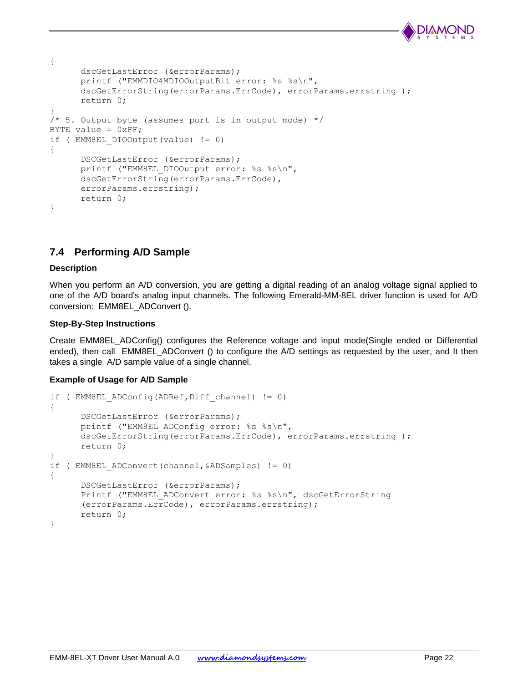

```
{
      dscGetLastError (&errorParams);
      printf ("EMMDIO4MDIOOutputBit error: %s %s\n", 
      dscGetErrorString(errorParams.ErrCode), errorParams.errstring );
      return 0;
}
/* 5. Output byte (assumes port is in output mode) */BYTE value = 0xFF;
if ( EMM8EL_DIOOutput(value) != 0)
{
      DSCGetLastError (&errorParams);
      printf ("EMM8EL DIOOutput error: %s %s\n",
      dscGetErrorString(errorParams.ErrCode), 
      errorParams.errstring);
      return 0;
}
```
# <span id="page-21-0"></span>**7.4 Performing A/D Sample**

#### **Description**

When you perform an A/D conversion, you are getting a digital reading of an analog voltage signal applied to one of the A/D board's analog input channels. The following Emerald-MM-8EL driver function is used for A/D conversion: [EMM8EL\\_ADConvert \(\).](#page-10-1)

#### **Step-By-Step Instructions**

Create [EMM8EL\\_ADConfig\(\)](#page-10-0) configures the Reference voltage and input mode(Single ended or Differential ended), then call [EMM8EL\\_ADConvert \(\)](#page-10-1) to configure the A/D settings as requested by the user, and It then takes a single A/D sample value of a single channel.

#### **Example of Usage for A/D Sample**

```
if ( EMM8EL_ADConfig(ADRef,Diff_channel) != 0)
{
      DSCGetLastError (&errorParams);
      printf ("EMM8EL ADConfig error: %s %s\n",
      dscGetErrorString(errorParams.ErrCode), errorParams.errstring );
       return 0;
}
if ( EMM8EL_ADConvert(channel,&ADSamples) != 0)
{
      DSCGetLastError (&errorParams);
      Printf ("EMM8EL ADConvert error: %s %s\n", dscGetErrorString
      (errorParams.ErrCode), errorParams.errstring);
       return 0;
}
```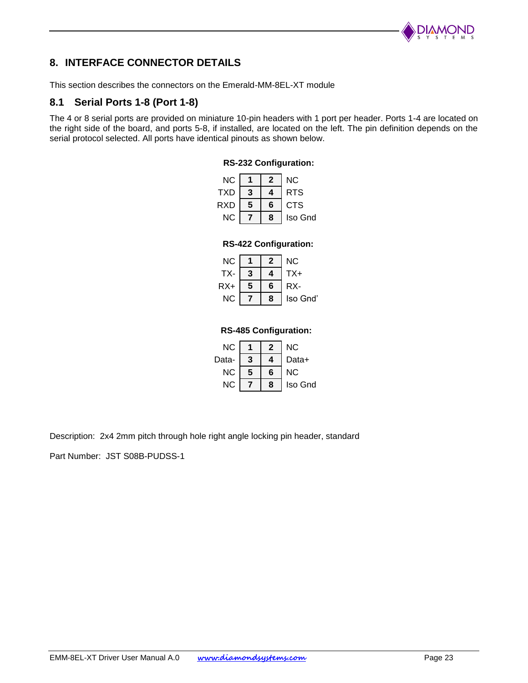

# <span id="page-22-0"></span>**8. INTERFACE CONNECTOR DETAILS**

This section describes the connectors on the Emerald-MM-8EL-XT module

## <span id="page-22-1"></span>**8.1 Serial Ports 1-8 (Port 1-8)**

The 4 or 8 serial ports are provided on miniature 10-pin headers with 1 port per header. Ports 1-4 are located on the right side of the board, and ports 5-8, if installed, are located on the left. The pin definition depends on the serial protocol selected. All ports have identical pinouts as shown below.

## **RS-232 Configuration:**

| ΝC  |   | 2 | NC.        |
|-----|---|---|------------|
| TXD |   |   | RTS        |
| RXD | 5 | 6 | <b>CTS</b> |
| NC. |   | ጸ | Iso Gnd    |

#### **RS-422 Configuration:**

| NC    |   |   | <b>NC</b> |
|-------|---|---|-----------|
| TX-   |   |   | TX+       |
| $RX+$ | 5 | 6 | RX-       |
| NC.   |   | 8 | Iso Gnd'  |

#### **RS-485 Configuration:**

| <b>NC</b> |   |   | NC.     |
|-----------|---|---|---------|
| Data-     |   |   | Data+   |
| <b>NC</b> | 5 | 6 | ΝC      |
| NC        |   | R | Iso Gnd |

Description: 2x4 2mm pitch through hole right angle locking pin header, standard

Part Number: JST S08B-PUDSS-1